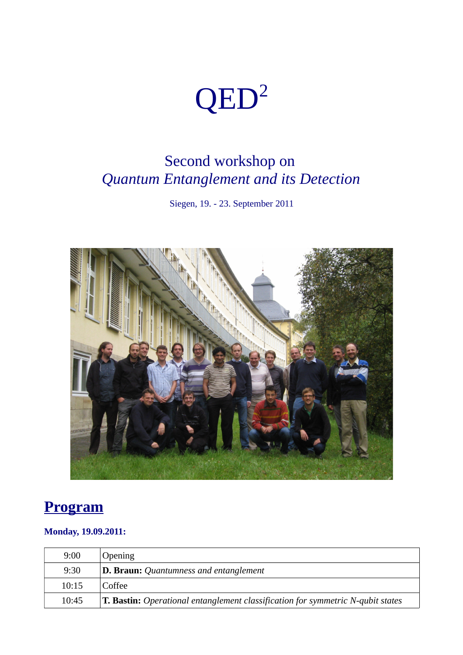# QED<sup>2</sup>

## Second workshop on *Quantum Entanglement and its Detection*

Siegen, 19. - 23. September 2011



### **Program**

#### **Monday, 19.09.2011:**

| 9:00  | <b>Opening</b>                                                                         |
|-------|----------------------------------------------------------------------------------------|
| 9:30  | D. Braun: Quantumness and entanglement                                                 |
| 10:15 | Coffee                                                                                 |
| 10:45 | <b>T. Bastin:</b> Operational entanglement classification for symmetric N-qubit states |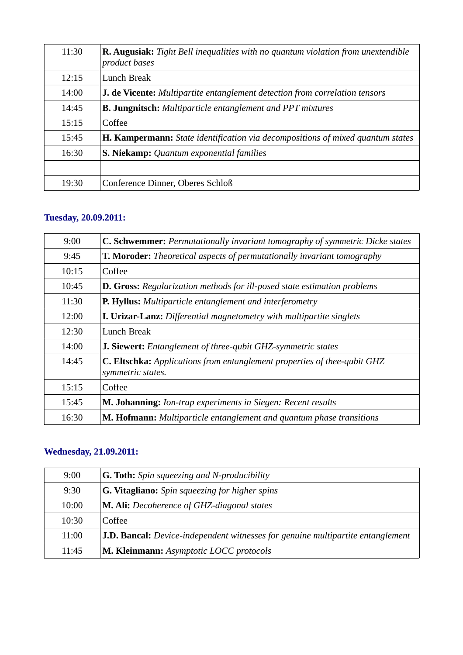| 11:30 | <b>R. Augusiak:</b> Tight Bell inequalities with no quantum violation from unextendible<br>product bases |
|-------|----------------------------------------------------------------------------------------------------------|
| 12:15 | Lunch Break                                                                                              |
| 14:00 | <b>J. de Vicente:</b> Multipartite entanglement detection from correlation tensors                       |
| 14:45 | <b>B. Jungnitsch:</b> Multiparticle entanglement and PPT mixtures                                        |
| 15:15 | Coffee                                                                                                   |
| 15:45 | <b>H. Kampermann:</b> State identification via decompositions of mixed quantum states                    |
| 16:30 | S. Niekamp: Quantum exponential families                                                                 |
|       |                                                                                                          |
| 19:30 | Conference Dinner, Oberes Schloß                                                                         |

#### **Tuesday, 20.09.2011:**

| 9:00  | C. Schwemmer: Permutationally invariant tomography of symmetric Dicke states                  |
|-------|-----------------------------------------------------------------------------------------------|
| 9:45  | <b>T. Moroder:</b> Theoretical aspects of permutationally invariant tomography                |
| 10:15 | Coffee                                                                                        |
| 10:45 | <b>D. Gross:</b> Regularization methods for ill-posed state estimation problems               |
| 11:30 | P. Hyllus: Multiparticle entanglement and interferometry                                      |
| 12:00 | I. Urizar-Lanz: Differential magnetometry with multipartite singlets                          |
| 12:30 | Lunch Break                                                                                   |
| 14:00 | J. Siewert: Entanglement of three-qubit GHZ-symmetric states                                  |
| 14:45 | C. Eltschka: Applications from entanglement properties of thee-qubit GHZ<br>symmetric states. |
| 15:15 | Coffee                                                                                        |
| 15:45 | M. Johanning: Ion-trap experiments in Siegen: Recent results                                  |
| 16:30 | M. Hofmann: Multiparticle entanglement and quantum phase transitions                          |

#### **Wednesday, 21.09.2011:**

| 9:00  | <b>G. Toth:</b> Spin squeezing and N-producibility                              |
|-------|---------------------------------------------------------------------------------|
| 9:30  | G. Vitagliano: Spin squeezing for higher spins                                  |
| 10:00 | <b>M. Ali:</b> Decoherence of GHZ-diagonal states                               |
| 10:30 | Coffee                                                                          |
| 11:00 | J.D. Bancal: Device-independent witnesses for genuine multipartite entanglement |
| 11:45 | M. Kleinmann: Asymptotic LOCC protocols                                         |